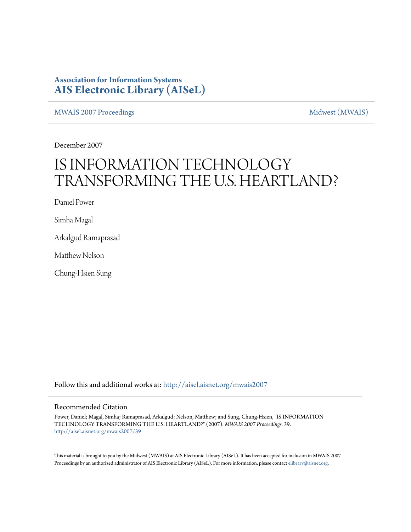## **Association for Information Systems [AIS Electronic Library \(AISeL\)](http://aisel.aisnet.org?utm_source=aisel.aisnet.org%2Fmwais2007%2F39&utm_medium=PDF&utm_campaign=PDFCoverPages)**

[MWAIS 2007 Proceedings](http://aisel.aisnet.org/mwais2007?utm_source=aisel.aisnet.org%2Fmwais2007%2F39&utm_medium=PDF&utm_campaign=PDFCoverPages) and the matrix of the [Midwest \(MWAIS\)](http://aisel.aisnet.org/mwais?utm_source=aisel.aisnet.org%2Fmwais2007%2F39&utm_medium=PDF&utm_campaign=PDFCoverPages)

December 2007

# IS INFORMATION TECHNOLOGY TRANSFORMING THE U.S. HEARTLAND?

Daniel Power

Simha Magal

Arkalgud Ramaprasad

Matthew Nelson

Chung-Hsien Sung

Follow this and additional works at: [http://aisel.aisnet.org/mwais2007](http://aisel.aisnet.org/mwais2007?utm_source=aisel.aisnet.org%2Fmwais2007%2F39&utm_medium=PDF&utm_campaign=PDFCoverPages)

#### Recommended Citation

Power, Daniel; Magal, Simha; Ramaprasad, Arkalgud; Nelson, Matthew; and Sung, Chung-Hsien, "IS INFORMATION TECHNOLOGY TRANSFORMING THE U.S. HEARTLAND?" (2007). *MWAIS 2007 Proceedings*. 39. [http://aisel.aisnet.org/mwais2007/39](http://aisel.aisnet.org/mwais2007/39?utm_source=aisel.aisnet.org%2Fmwais2007%2F39&utm_medium=PDF&utm_campaign=PDFCoverPages)

This material is brought to you by the Midwest (MWAIS) at AIS Electronic Library (AISeL). It has been accepted for inclusion in MWAIS 2007 Proceedings by an authorized administrator of AIS Electronic Library (AISeL). For more information, please contact [elibrary@aisnet.org](mailto:elibrary@aisnet.org%3E).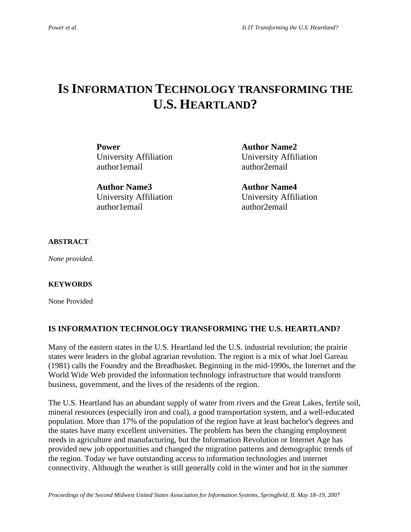# **IS INFORMATION TECHNOLOGY TRANSFORMING THE U.S. HEARTLAND?**

**Power Author Name2** University Affiliation University Affiliation author1email author2email

**Author Name3 Author Name4**  University Affiliation University Affiliation author1email author2email

#### **ABSTRACT**

*None provided.* 

#### **KEYWORDS**

None Provided

#### **IS INFORMATION TECHNOLOGY TRANSFORMING THE U.S. HEARTLAND?**

Many of the eastern states in the U.S. Heartland led the U.S. industrial revolution; the prairie states were leaders in the global agrarian revolution. The region is a mix of what Joel Gareau (1981) calls the Foundry and the Breadbasket. Beginning in the mid-1990s, the Internet and the World Wide Web provided the information technology infrastructure that would transform business, government, and the lives of the residents of the region.

The U.S. Heartland has an abundant supply of water from rivers and the Great Lakes, fertile soil, mineral resources (especially iron and coal), a good transportation system, and a well-educated population. More than 17% of the population of the region have at least bachelor's degrees and the states have many excellent universities. The problem has been the changing employment needs in agriculture and manufacturing, but the Information Revolution or Internet Age has provided new job opportunities and changed the migration patterns and demographic trends of the region. Today we have outstanding access to information technologies and internet connectivity. Although the weather is still generally cold in the winter and hot in the summer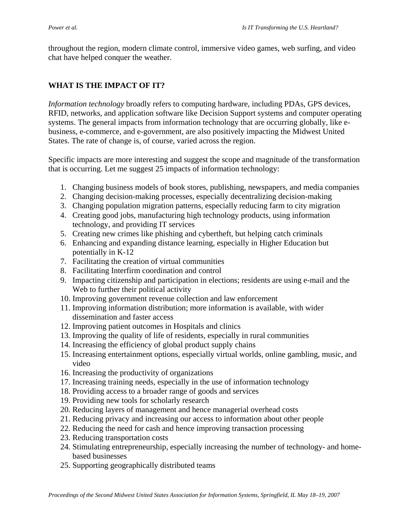throughout the region, modern climate control, immersive video games, web surfing, and video chat have helped conquer the weather.

### **WHAT IS THE IMPACT OF IT?**

*Information technology* broadly refers to computing hardware, including PDAs, GPS devices, RFID, networks, and application software like Decision Support systems and computer operating systems. The general impacts from information technology that are occurring globally, like ebusiness, e-commerce, and e-government, are also positively impacting the Midwest United States. The rate of change is, of course, varied across the region.

Specific impacts are more interesting and suggest the scope and magnitude of the transformation that is occurring. Let me suggest 25 impacts of information technology:

- 1. Changing business models of book stores, publishing, newspapers, and media companies
- 2. Changing decision-making processes, especially decentralizing decision-making
- 3. Changing population migration patterns, especially reducing farm to city migration
- 4. Creating good jobs, manufacturing high technology products, using information technology, and providing IT services
- 5. Creating new crimes like phishing and cybertheft, but helping catch criminals
- 6. Enhancing and expanding distance learning, especially in Higher Education but potentially in K-12
- 7. Facilitating the creation of virtual communities
- 8. Facilitating Interfirm coordination and control
- 9. Impacting citizenship and participation in elections; residents are using e-mail and the Web to further their political activity
- 10. Improving government revenue collection and law enforcement
- 11. Improving information distribution; more information is available, with wider dissemination and faster access
- 12. Improving patient outcomes in Hospitals and clinics
- 13. Improving the quality of life of residents, especially in rural communities
- 14. Increasing the efficiency of global product supply chains
- 15. Increasing entertainment options, especially virtual worlds, online gambling, music, and video
- 16. Increasing the productivity of organizations
- 17. Increasing training needs, especially in the use of information technology
- 18. Providing access to a broader range of goods and services
- 19. Providing new tools for scholarly research
- 20. Reducing layers of management and hence managerial overhead costs
- 21. Reducing privacy and increasing our access to information about other people
- 22. Reducing the need for cash and hence improving transaction processing
- 23. Reducing transportation costs
- 24. Stimulating entrepreneurship, especially increasing the number of technology- and homebased businesses
- 25. Supporting geographically distributed teams